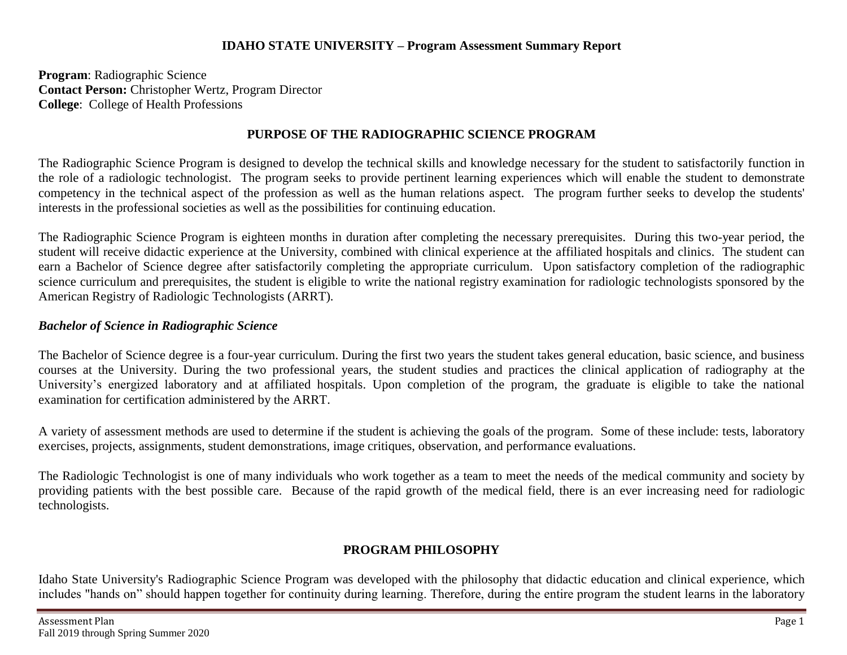## **IDAHO STATE UNIVERSITY – Program Assessment Summary Report**

**Program**: Radiographic Science **Contact Person:** Christopher Wertz, Program Director **College**: College of Health Professions

## **PURPOSE OF THE RADIOGRAPHIC SCIENCE PROGRAM**

The Radiographic Science Program is designed to develop the technical skills and knowledge necessary for the student to satisfactorily function in the role of a radiologic technologist. The program seeks to provide pertinent learning experiences which will enable the student to demonstrate competency in the technical aspect of the profession as well as the human relations aspect. The program further seeks to develop the students' interests in the professional societies as well as the possibilities for continuing education.

The Radiographic Science Program is eighteen months in duration after completing the necessary prerequisites. During this two-year period, the student will receive didactic experience at the University, combined with clinical experience at the affiliated hospitals and clinics. The student can earn a Bachelor of Science degree after satisfactorily completing the appropriate curriculum. Upon satisfactory completion of the radiographic science curriculum and prerequisites, the student is eligible to write the national registry examination for radiologic technologists sponsored by the American Registry of Radiologic Technologists (ARRT).

## *Bachelor of Science in Radiographic Science*

The Bachelor of Science degree is a four-year curriculum. During the first two years the student takes general education, basic science, and business courses at the University. During the two professional years, the student studies and practices the clinical application of radiography at the University's energized laboratory and at affiliated hospitals. Upon completion of the program, the graduate is eligible to take the national examination for certification administered by the ARRT.

A variety of assessment methods are used to determine if the student is achieving the goals of the program. Some of these include: tests, laboratory exercises, projects, assignments, student demonstrations, image critiques, observation, and performance evaluations.

The Radiologic Technologist is one of many individuals who work together as a team to meet the needs of the medical community and society by providing patients with the best possible care. Because of the rapid growth of the medical field, there is an ever increasing need for radiologic technologists.

## **PROGRAM PHILOSOPHY**

Idaho State University's Radiographic Science Program was developed with the philosophy that didactic education and clinical experience, which includes "hands on" should happen together for continuity during learning. Therefore, during the entire program the student learns in the laboratory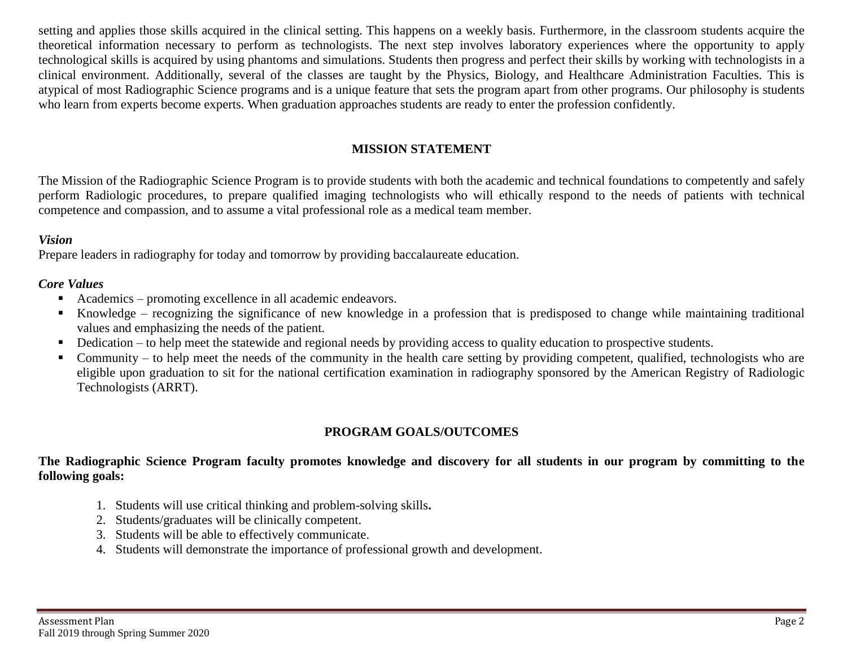setting and applies those skills acquired in the clinical setting. This happens on a weekly basis. Furthermore, in the classroom students acquire the theoretical information necessary to perform as technologists. The next step involves laboratory experiences where the opportunity to apply technological skills is acquired by using phantoms and simulations. Students then progress and perfect their skills by working with technologists in a clinical environment. Additionally, several of the classes are taught by the Physics, Biology, and Healthcare Administration Faculties. This is atypical of most Radiographic Science programs and is a unique feature that sets the program apart from other programs. Our philosophy is students who learn from experts become experts. When graduation approaches students are ready to enter the profession confidently.

## **MISSION STATEMENT**

The Mission of the Radiographic Science Program is to provide students with both the academic and technical foundations to competently and safely perform Radiologic procedures, to prepare qualified imaging technologists who will ethically respond to the needs of patients with technical competence and compassion, and to assume a vital professional role as a medical team member.

#### *Vision*

Prepare leaders in radiography for today and tomorrow by providing baccalaureate education.

## *Core Values*

- Academics promoting excellence in all academic endeavors.
- Knowledge recognizing the significance of new knowledge in a profession that is predisposed to change while maintaining traditional values and emphasizing the needs of the patient.
- Dedication to help meet the statewide and regional needs by providing access to quality education to prospective students.
- Community to help meet the needs of the community in the health care setting by providing competent, qualified, technologists who are eligible upon graduation to sit for the national certification examination in radiography sponsored by the American Registry of Radiologic Technologists (ARRT).

## **PROGRAM GOALS/OUTCOMES**

## **The Radiographic Science Program faculty promotes knowledge and discovery for all students in our program by committing to the following goals:**

- 1. Students will use critical thinking and problem-solving skills**.**
- 2. Students/graduates will be clinically competent.
- 3. Students will be able to effectively communicate.
- 4. Students will demonstrate the importance of professional growth and development.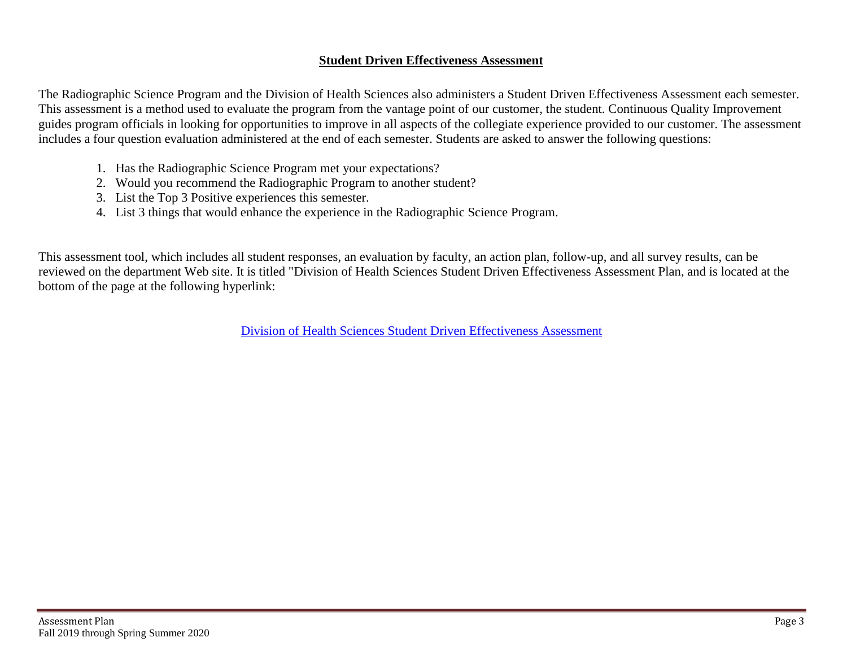## **Student Driven Effectiveness Assessment**

The Radiographic Science Program and the Division of Health Sciences also administers a Student Driven Effectiveness Assessment each semester. This assessment is a method used to evaluate the program from the vantage point of our customer, the student. Continuous Quality Improvement guides program officials in looking for opportunities to improve in all aspects of the collegiate experience provided to our customer. The assessment includes a four question evaluation administered at the end of each semester. Students are asked to answer the following questions:

- 1. Has the Radiographic Science Program met your expectations?
- 2. Would you recommend the Radiographic Program to another student?
- 3. List the Top 3 Positive experiences this semester.
- 4. List 3 things that would enhance the experience in the Radiographic Science Program.

This assessment tool, which includes all student responses, an evaluation by faculty, an action plan, follow-up, and all survey results, can be reviewed on the department Web site. It is titled "Division of Health Sciences Student Driven Effectiveness Assessment Plan, and is located at the bottom of the page at the following hyperlink:

[Division of Health Sciences Student Driven Effectiveness](http://www.isu.edu/radsci/admindata.shtml) Assessment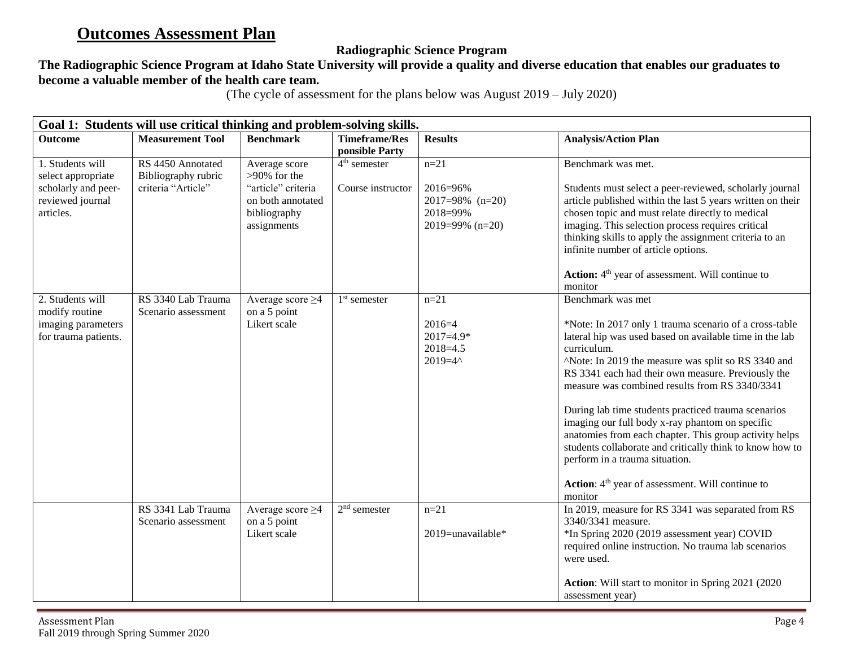# **Outcomes Assessment Plan**

## **Radiographic Science Program**

## **The Radiographic Science Program at Idaho State University will provide a quality and diverse education that enables our graduates to become a valuable member of the health care team.**

(The cycle of assessment for the plans below was August 2019 – July 2020)

| Goal 1: Students will use critical thinking and problem-solving skills.                        |                                                                |                                                                                                            |                                                       |                                                                             |                                                                                                                                                                                                                                                                                                                                                                                                                                                                                                                                                                                                                                                                              |  |  |
|------------------------------------------------------------------------------------------------|----------------------------------------------------------------|------------------------------------------------------------------------------------------------------------|-------------------------------------------------------|-----------------------------------------------------------------------------|------------------------------------------------------------------------------------------------------------------------------------------------------------------------------------------------------------------------------------------------------------------------------------------------------------------------------------------------------------------------------------------------------------------------------------------------------------------------------------------------------------------------------------------------------------------------------------------------------------------------------------------------------------------------------|--|--|
| <b>Outcome</b>                                                                                 | <b>Measurement Tool</b>                                        | <b>Benchmark</b>                                                                                           | <b>Timeframe/Res</b>                                  | <b>Results</b>                                                              | <b>Analysis/Action Plan</b>                                                                                                                                                                                                                                                                                                                                                                                                                                                                                                                                                                                                                                                  |  |  |
| 1. Students will<br>select appropriate<br>scholarly and peer-<br>reviewed journal<br>articles. | RS 4450 Annotated<br>Bibliography rubric<br>criteria "Article" | Average score<br>$>90\%$ for the<br>"article" criteria<br>on both annotated<br>bibliography<br>assignments | ponsible Party<br>$4th$ semester<br>Course instructor | $n = 21$<br>2016=96%<br>$2017=98\%$ (n=20)<br>2018=99%<br>2019=99% $(n=20)$ | Benchmark was met.<br>Students must select a peer-reviewed, scholarly journal<br>article published within the last 5 years written on their<br>chosen topic and must relate directly to medical<br>imaging. This selection process requires critical<br>thinking skills to apply the assignment criteria to an<br>infinite number of article options.<br>Action: 4 <sup>th</sup> year of assessment. Will continue to                                                                                                                                                                                                                                                        |  |  |
| 2. Students will<br>modify routine<br>imaging parameters<br>for trauma patients.               | RS 3340 Lab Trauma<br>Scenario assessment                      | Average score $\geq$ 4<br>on a 5 point<br>Likert scale                                                     | $1st$ semester                                        | $n = 21$<br>$2016=4$<br>$2017=4.9*$<br>$2018 = 4.5$<br>$2019 = 4^{\circ}$   | monitor<br>Benchmark was met<br>*Note: In 2017 only 1 trauma scenario of a cross-table<br>lateral hip was used based on available time in the lab<br>curriculum.<br>^Note: In 2019 the measure was split so RS 3340 and<br>RS 3341 each had their own measure. Previously the<br>measure was combined results from RS 3340/3341<br>During lab time students practiced trauma scenarios<br>imaging our full body x-ray phantom on specific<br>anatomies from each chapter. This group activity helps<br>students collaborate and critically think to know how to<br>perform in a trauma situation.<br>Action: 4 <sup>th</sup> year of assessment. Will continue to<br>monitor |  |  |
|                                                                                                | RS 3341 Lab Trauma<br>Scenario assessment                      | Average score $\geq 4$<br>on a 5 point<br>Likert scale                                                     | $2nd$ semester                                        | $n = 21$<br>2019=unavailable*                                               | In 2019, measure for RS 3341 was separated from RS<br>3340/3341 measure.<br>*In Spring 2020 (2019 assessment year) COVID<br>required online instruction. No trauma lab scenarios<br>were used.<br>Action: Will start to monitor in Spring 2021 (2020)<br>assessment year)                                                                                                                                                                                                                                                                                                                                                                                                    |  |  |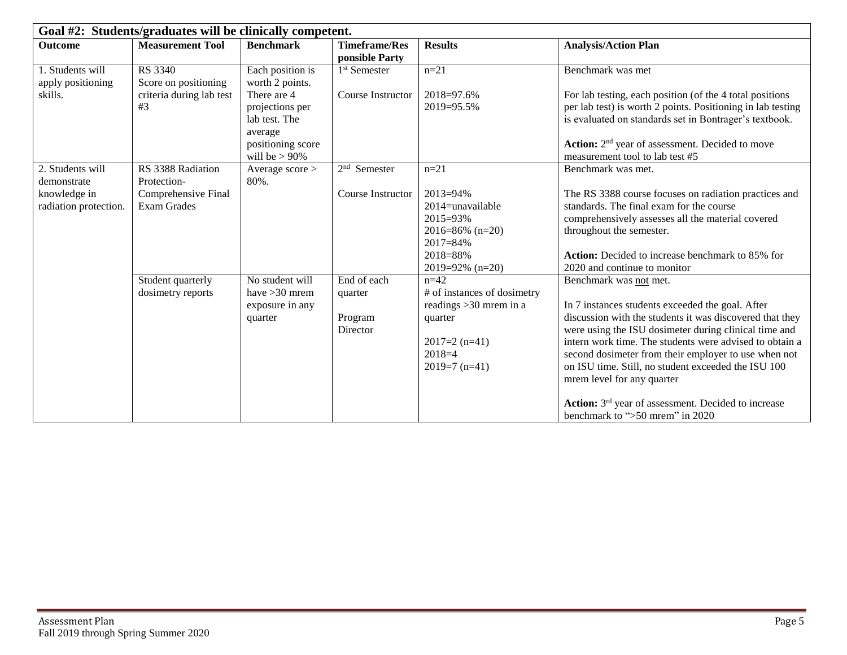| Goal #2: Students/graduates will be clinically competent. |                                        |                                                                                                     |                                               |                                                                                                                                |                                                                                                                                                                                                                                                                                                                                                                                                                                                                            |  |  |
|-----------------------------------------------------------|----------------------------------------|-----------------------------------------------------------------------------------------------------|-----------------------------------------------|--------------------------------------------------------------------------------------------------------------------------------|----------------------------------------------------------------------------------------------------------------------------------------------------------------------------------------------------------------------------------------------------------------------------------------------------------------------------------------------------------------------------------------------------------------------------------------------------------------------------|--|--|
| <b>Outcome</b>                                            | <b>Measurement Tool</b>                | <b>Benchmark</b>                                                                                    | <b>Timeframe/Res</b><br>ponsible Party        | <b>Results</b>                                                                                                                 | <b>Analysis/Action Plan</b>                                                                                                                                                                                                                                                                                                                                                                                                                                                |  |  |
| 1. Students will<br>apply positioning                     | <b>RS</b> 3340<br>Score on positioning | Each position is<br>worth 2 points.                                                                 | 1 <sup>st</sup> Semester                      | $n = 21$                                                                                                                       | Benchmark was met                                                                                                                                                                                                                                                                                                                                                                                                                                                          |  |  |
| skills.                                                   | criteria during lab test<br>#3         | There are 4<br>projections per<br>lab test. The<br>average<br>positioning score<br>will be $> 90\%$ | Course Instructor                             | 2018=97.6%<br>2019=95.5%                                                                                                       | For lab testing, each position (of the 4 total positions)<br>per lab test) is worth 2 points. Positioning in lab testing<br>is evaluated on standards set in Bontrager's textbook.<br>Action: 2 <sup>nd</sup> year of assessment. Decided to move<br>measurement tool to lab test #5                                                                                                                                                                                       |  |  |
| 2. Students will<br>demonstrate                           | RS 3388 Radiation<br>Protection-       | Average score ><br>80%.                                                                             | $2nd$ Semester                                | $n = 21$                                                                                                                       | Benchmark was met.                                                                                                                                                                                                                                                                                                                                                                                                                                                         |  |  |
| knowledge in<br>radiation protection.                     | Comprehensive Final<br>Exam Grades     |                                                                                                     | Course Instructor                             | $2013 = 94\%$<br>$2014$ =unavailable<br>2015=93%<br>$2016 = 86\%$ (n=20)<br>$2017 = 84\%$<br>2018=88%<br>$2019=92\%$ (n=20)    | The RS 3388 course focuses on radiation practices and<br>standards. The final exam for the course<br>comprehensively assesses all the material covered<br>throughout the semester.<br><b>Action:</b> Decided to increase benchmark to 85% for<br>2020 and continue to monitor                                                                                                                                                                                              |  |  |
|                                                           | Student quarterly<br>dosimetry reports | No student will<br>have $>30$ mrem<br>exposure in any<br>quarter                                    | End of each<br>quarter<br>Program<br>Director | $n=42$<br># of instances of dosimetry<br>readings $>30$ mrem in a<br>quarter<br>$2017=2 (n=41)$<br>$2018=4$<br>$2019=7$ (n=41) | Benchmark was not met.<br>In 7 instances students exceeded the goal. After<br>discussion with the students it was discovered that they<br>were using the ISU dosimeter during clinical time and<br>intern work time. The students were advised to obtain a<br>second dosimeter from their employer to use when not<br>on ISU time. Still, no student exceeded the ISU 100<br>mrem level for any quarter<br>Action: 3 <sup>rd</sup> year of assessment. Decided to increase |  |  |
|                                                           |                                        |                                                                                                     |                                               |                                                                                                                                | benchmark to ">50 mrem" in 2020                                                                                                                                                                                                                                                                                                                                                                                                                                            |  |  |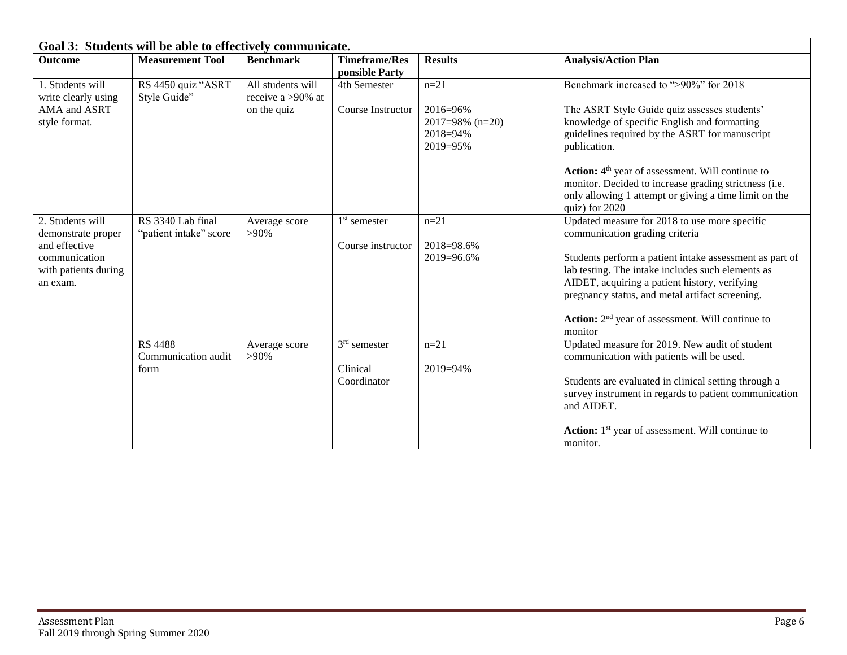| Goal 3: Students will be able to effectively communicate. |                         |                      |                                        |                    |                                                                                                               |  |  |
|-----------------------------------------------------------|-------------------------|----------------------|----------------------------------------|--------------------|---------------------------------------------------------------------------------------------------------------|--|--|
| <b>Outcome</b>                                            | <b>Measurement Tool</b> | <b>Benchmark</b>     | <b>Timeframe/Res</b><br>ponsible Party | <b>Results</b>     | <b>Analysis/Action Plan</b>                                                                                   |  |  |
| 1. Students will                                          | RS 4450 quiz "ASRT      | All students will    | 4th Semester                           | $n=21$             | Benchmark increased to ">90%" for 2018                                                                        |  |  |
| write clearly using                                       | Style Guide"            | receive a $>90\%$ at |                                        |                    |                                                                                                               |  |  |
| AMA and ASRT                                              |                         | on the quiz          | Course Instructor                      | 2016=96%           | The ASRT Style Guide quiz assesses students'                                                                  |  |  |
| style format.                                             |                         |                      |                                        | $2017=98\%$ (n=20) | knowledge of specific English and formatting                                                                  |  |  |
|                                                           |                         |                      |                                        | 2018=94%           | guidelines required by the ASRT for manuscript                                                                |  |  |
|                                                           |                         |                      |                                        | 2019=95%           | publication.                                                                                                  |  |  |
|                                                           |                         |                      |                                        |                    | Action: 4 <sup>th</sup> year of assessment. Will continue to                                                  |  |  |
|                                                           |                         |                      |                                        |                    | monitor. Decided to increase grading strictness (i.e.                                                         |  |  |
|                                                           |                         |                      |                                        |                    | only allowing 1 attempt or giving a time limit on the<br>quiz) for 2020                                       |  |  |
| 2. Students will                                          | RS 3340 Lab final       | Average score        | $1st$ semester                         | $n = 21$           | Updated measure for 2018 to use more specific                                                                 |  |  |
| demonstrate proper                                        | "patient intake" score  | $>90\%$              |                                        |                    | communication grading criteria                                                                                |  |  |
| and effective                                             |                         |                      | Course instructor                      | 2018=98.6%         |                                                                                                               |  |  |
| communication                                             |                         |                      |                                        | 2019=96.6%         | Students perform a patient intake assessment as part of                                                       |  |  |
| with patients during                                      |                         |                      |                                        |                    | lab testing. The intake includes such elements as                                                             |  |  |
| an exam.                                                  |                         |                      |                                        |                    | AIDET, acquiring a patient history, verifying                                                                 |  |  |
|                                                           |                         |                      |                                        |                    | pregnancy status, and metal artifact screening.                                                               |  |  |
|                                                           |                         |                      |                                        |                    | Action: 2 <sup>nd</sup> year of assessment. Will continue to                                                  |  |  |
|                                                           |                         |                      |                                        |                    | monitor                                                                                                       |  |  |
|                                                           | <b>RS 4488</b>          | Average score        | $3rd$ semester                         | $n=21$             | Updated measure for 2019. New audit of student                                                                |  |  |
|                                                           | Communication audit     | $>90\%$              |                                        |                    | communication with patients will be used.                                                                     |  |  |
|                                                           | form                    |                      | Clinical                               | $2019 = 94\%$      |                                                                                                               |  |  |
|                                                           |                         |                      | Coordinator                            |                    | Students are evaluated in clinical setting through a<br>survey instrument in regards to patient communication |  |  |
|                                                           |                         |                      |                                        |                    | and AIDET.                                                                                                    |  |  |
|                                                           |                         |                      |                                        |                    |                                                                                                               |  |  |
|                                                           |                         |                      |                                        |                    | <b>Action:</b> 1 <sup>st</sup> year of assessment. Will continue to                                           |  |  |
|                                                           |                         |                      |                                        |                    | monitor.                                                                                                      |  |  |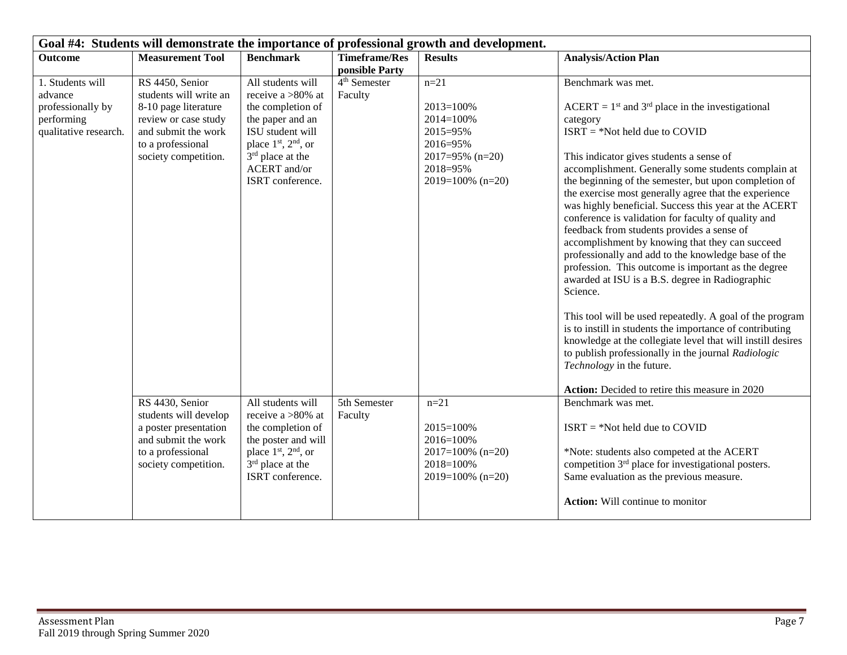| Goal #4: Students will demonstrate the importance of professional growth and development. |                                                                                                                                                               |                                                                                                                                                                                                                         |                                         |                                                                                                                             |                                                                                                                                                                                                                                                                                                                                                                                                                                                                                                                                                                                                                                                                                                                                                                                                                                                                                                                                                                                                                                                                                     |  |
|-------------------------------------------------------------------------------------------|---------------------------------------------------------------------------------------------------------------------------------------------------------------|-------------------------------------------------------------------------------------------------------------------------------------------------------------------------------------------------------------------------|-----------------------------------------|-----------------------------------------------------------------------------------------------------------------------------|-------------------------------------------------------------------------------------------------------------------------------------------------------------------------------------------------------------------------------------------------------------------------------------------------------------------------------------------------------------------------------------------------------------------------------------------------------------------------------------------------------------------------------------------------------------------------------------------------------------------------------------------------------------------------------------------------------------------------------------------------------------------------------------------------------------------------------------------------------------------------------------------------------------------------------------------------------------------------------------------------------------------------------------------------------------------------------------|--|
| <b>Outcome</b>                                                                            | <b>Measurement Tool</b>                                                                                                                                       | <b>Benchmark</b>                                                                                                                                                                                                        | <b>Timeframe/Res</b><br>ponsible Party  | <b>Results</b>                                                                                                              | <b>Analysis/Action Plan</b>                                                                                                                                                                                                                                                                                                                                                                                                                                                                                                                                                                                                                                                                                                                                                                                                                                                                                                                                                                                                                                                         |  |
| 1. Students will<br>advance<br>professionally by<br>performing<br>qualitative research.   | RS 4450, Senior<br>students will write an<br>8-10 page literature<br>review or case study<br>and submit the work<br>to a professional<br>society competition. | All students will<br>receive a $>80\%$ at<br>the completion of<br>the paper and an<br>ISU student will<br>place 1 <sup>st</sup> , 2 <sup>nd</sup> , or<br>$3rd$ place at the<br><b>ACERT</b> and/or<br>ISRT conference. | $\overline{4^{th}}$ Semester<br>Faculty | $n = 21$<br>$2013 = 100%$<br>$2014 = 100%$<br>2015=95%<br>2016=95%<br>$2017=95\%$ (n=20)<br>2018=95%<br>$2019=100\%$ (n=20) | Benchmark was met.<br>$ACERT = 1st$ and 3 <sup>rd</sup> place in the investigational<br>category<br>$ISRT = *Not held due to COVID$<br>This indicator gives students a sense of<br>accomplishment. Generally some students complain at<br>the beginning of the semester, but upon completion of<br>the exercise most generally agree that the experience<br>was highly beneficial. Success this year at the ACERT<br>conference is validation for faculty of quality and<br>feedback from students provides a sense of<br>accomplishment by knowing that they can succeed<br>professionally and add to the knowledge base of the<br>profession. This outcome is important as the degree<br>awarded at ISU is a B.S. degree in Radiographic<br>Science.<br>This tool will be used repeatedly. A goal of the program<br>is to instill in students the importance of contributing<br>knowledge at the collegiate level that will instill desires<br>to publish professionally in the journal Radiologic<br>Technology in the future.<br>Action: Decided to retire this measure in 2020 |  |
|                                                                                           | RS 4430, Senior<br>students will develop<br>a poster presentation<br>and submit the work<br>to a professional<br>society competition.                         | All students will<br>receive a >80% at<br>the completion of<br>the poster and will<br>place 1 <sup>st</sup> , 2 <sup>nd</sup> , or<br>3 <sup>rd</sup> place at the<br>ISRT conference.                                  | 5th Semester<br>Faculty                 | $n=21$<br>$2015 = 100%$<br>2016=100%<br>$2017=100\%$ (n=20)<br>2018=100%<br>$2019=100\%$ (n=20)                             | Benchmark was met.<br>$ISRT = *Not held due to COVID$<br>*Note: students also competed at the ACERT<br>competition 3 <sup>rd</sup> place for investigational posters.<br>Same evaluation as the previous measure.<br>Action: Will continue to monitor                                                                                                                                                                                                                                                                                                                                                                                                                                                                                                                                                                                                                                                                                                                                                                                                                               |  |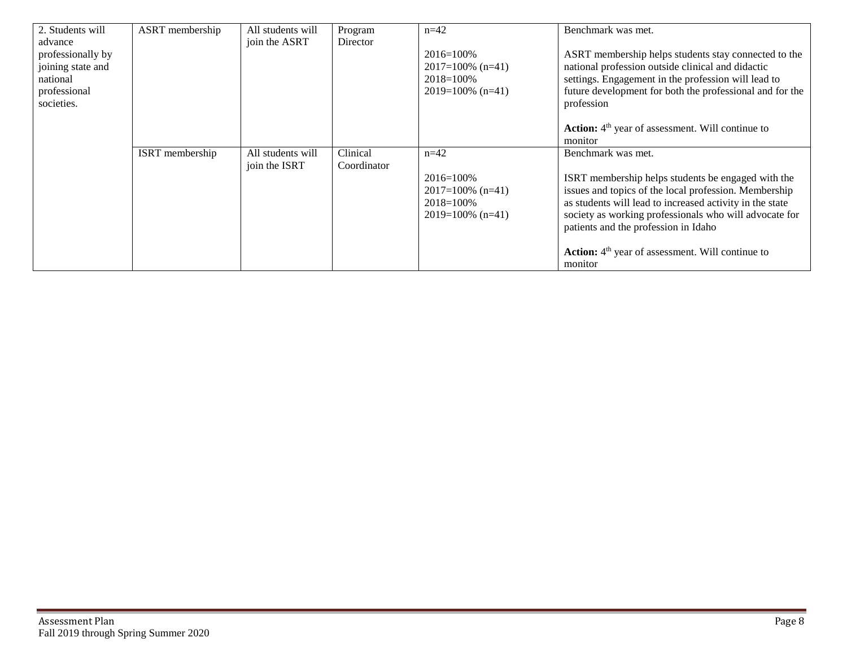| 2. Students will  | ASRT membership | All students will | Program     | $n=42$              | Benchmark was met.                                           |
|-------------------|-----------------|-------------------|-------------|---------------------|--------------------------------------------------------------|
| advance           |                 | join the ASRT     | Director    |                     |                                                              |
| professionally by |                 |                   |             | $2016 = 100\%$      | ASRT membership helps students stay connected to the         |
| joining state and |                 |                   |             | $2017=100\%$ (n=41) | national profession outside clinical and didactic            |
| national          |                 |                   |             | $2018 = 100\%$      | settings. Engagement in the profession will lead to          |
| professional      |                 |                   |             | $2019=100\%$ (n=41) | future development for both the professional and for the     |
| societies.        |                 |                   |             |                     | profession                                                   |
|                   |                 |                   |             |                     |                                                              |
|                   |                 |                   |             |                     | Action: 4 <sup>th</sup> year of assessment. Will continue to |
|                   |                 |                   |             |                     | monitor                                                      |
|                   | ISRT membership | All students will | Clinical    | $n=42$              | Benchmark was met.                                           |
|                   |                 | join the ISRT     | Coordinator |                     |                                                              |
|                   |                 |                   |             | $2016 = 100\%$      | ISRT membership helps students be engaged with the           |
|                   |                 |                   |             | $2017=100\%$ (n=41) | issues and topics of the local profession. Membership        |
|                   |                 |                   |             | $2018 = 100\%$      | as students will lead to increased activity in the state     |
|                   |                 |                   |             | $2019=100\%$ (n=41) | society as working professionals who will advocate for       |
|                   |                 |                   |             |                     | patients and the profession in Idaho                         |
|                   |                 |                   |             |                     |                                                              |
|                   |                 |                   |             |                     | Action: 4 <sup>th</sup> year of assessment. Will continue to |
|                   |                 |                   |             |                     | monitor                                                      |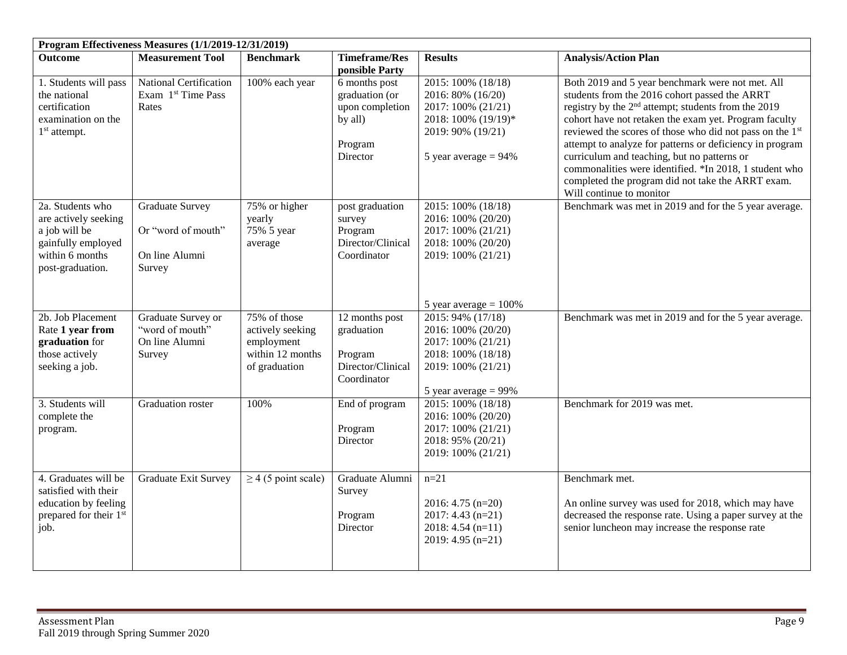|                                                                                                                        | Program Effectiveness Measures (1/1/2019-12/31/2019)                                   |                                                                                             |                                                                                               |                                                                                                                                                                                        |                                                                                                                                                                                                                                                                                                                                                                                                                                                                                                                                                 |  |  |
|------------------------------------------------------------------------------------------------------------------------|----------------------------------------------------------------------------------------|---------------------------------------------------------------------------------------------|-----------------------------------------------------------------------------------------------|----------------------------------------------------------------------------------------------------------------------------------------------------------------------------------------|-------------------------------------------------------------------------------------------------------------------------------------------------------------------------------------------------------------------------------------------------------------------------------------------------------------------------------------------------------------------------------------------------------------------------------------------------------------------------------------------------------------------------------------------------|--|--|
| <b>Outcome</b>                                                                                                         | <b>Measurement Tool</b>                                                                | <b>Benchmark</b>                                                                            | <b>Timeframe/Res</b><br>ponsible Party                                                        | <b>Results</b>                                                                                                                                                                         | <b>Analysis/Action Plan</b>                                                                                                                                                                                                                                                                                                                                                                                                                                                                                                                     |  |  |
| 1. Students will pass<br>the national<br>certification<br>examination on the<br>$1st$ attempt.                         | National Certification<br>Exam 1 <sup>st</sup> Time Pass<br>Rates                      | 100% each year                                                                              | 6 months post<br>graduation (or<br>upon completion<br>by all)<br>Program<br>Director          | 2015: 100% (18/18)<br>2016: 80% (16/20)<br>2017: 100% (21/21)<br>2018: 100% (19/19)*<br>2019: 90% (19/21)<br>5 year average $= 94\%$                                                   | Both 2019 and 5 year benchmark were not met. All<br>students from the 2016 cohort passed the ARRT<br>registry by the 2 <sup>nd</sup> attempt; students from the 2019<br>cohort have not retaken the exam yet. Program faculty<br>reviewed the scores of those who did not pass on the 1st<br>attempt to analyze for patterns or deficiency in program<br>curriculum and teaching, but no patterns or<br>commonalities were identified. *In 2018, 1 student who<br>completed the program did not take the ARRT exam.<br>Will continue to monitor |  |  |
| 2a. Students who<br>are actively seeking<br>a job will be<br>gainfully employed<br>within 6 months<br>post-graduation. | <b>Graduate Survey</b><br>Or "word of mouth"<br>On line Alumni<br>Survey               | 75% or higher<br>yearly<br>75% 5 year<br>average                                            | post graduation<br>survey<br>Program<br>Director/Clinical<br>Coordinator                      | 2015: 100% (18/18)<br>2016: 100% (20/20)<br>2017: 100% (21/21)<br>2018: 100% (20/20)<br>2019: 100% (21/21)                                                                             | Benchmark was met in 2019 and for the 5 year average.                                                                                                                                                                                                                                                                                                                                                                                                                                                                                           |  |  |
| 2b. Job Placement<br>Rate 1 year from<br>graduation for<br>those actively<br>seeking a job.<br>3. Students will        | Graduate Survey or<br>"word of mouth"<br>On line Alumni<br>Survey<br>Graduation roster | 75% of those<br>actively seeking<br>employment<br>within 12 months<br>of graduation<br>100% | 12 months post<br>graduation<br>Program<br>Director/Clinical<br>Coordinator<br>End of program | 5 year average $= 100\%$<br>2015: 94% (17/18)<br>2016: 100% (20/20)<br>2017: 100% (21/21)<br>2018: 100% (18/18)<br>2019: 100% (21/21)<br>5 year average $= 99\%$<br>2015: 100% (18/18) | Benchmark was met in 2019 and for the 5 year average.<br>Benchmark for 2019 was met.                                                                                                                                                                                                                                                                                                                                                                                                                                                            |  |  |
| complete the<br>program.                                                                                               |                                                                                        |                                                                                             | Program<br>Director                                                                           | 2016: 100% (20/20)<br>2017: 100% (21/21)<br>2018: 95% (20/21)<br>2019: 100% (21/21)                                                                                                    |                                                                                                                                                                                                                                                                                                                                                                                                                                                                                                                                                 |  |  |
| 4. Graduates will be<br>satisfied with their<br>education by feeling<br>prepared for their 1st<br>job.                 | <b>Graduate Exit Survey</b>                                                            | $\geq$ 4 (5 point scale)                                                                    | Graduate Alumni<br>Survey<br>Program<br>Director                                              | $n=21$<br>2016: 4.75 $(n=20)$<br>$2017: 4.43$ (n=21)<br>$2018: 4.54(n=11)$<br>2019: 4.95 $(n=21)$                                                                                      | Benchmark met.<br>An online survey was used for 2018, which may have<br>decreased the response rate. Using a paper survey at the<br>senior luncheon may increase the response rate                                                                                                                                                                                                                                                                                                                                                              |  |  |